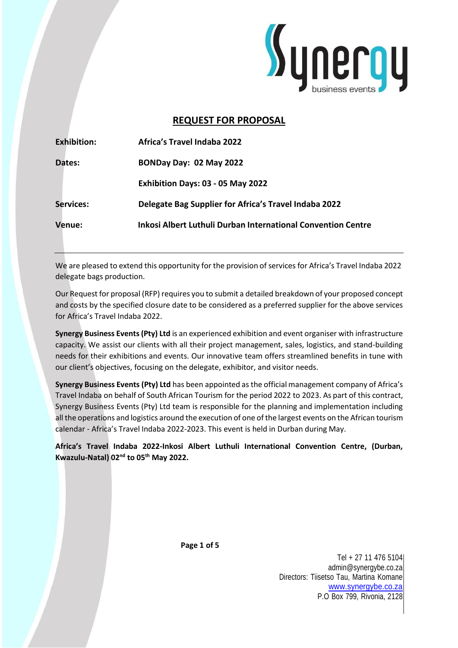

# **REQUEST FOR PROPOSAL**

| <b>Exhibition:</b> | Africa's Travel Indaba 2022                                  |
|--------------------|--------------------------------------------------------------|
| Dates:             | BONDay Day: 02 May 2022                                      |
|                    | Exhibition Days: 03 - 05 May 2022                            |
| <b>Services:</b>   | Delegate Bag Supplier for Africa's Travel Indaba 2022        |
| Venue:             | Inkosi Albert Luthuli Durban International Convention Centre |

We are pleased to extend this opportunity for the provision of services for Africa's Travel Indaba 2022 delegate bags production.

Our Request for proposal (RFP) requires you to submit a detailed breakdown of your proposed concept and costs by the specified closure date to be considered as a preferred supplier for the above services for Africa's Travel Indaba 2022.

**Synergy Business Events(Pty) Ltd** is an experienced exhibition and event organiser with infrastructure capacity. We assist our clients with all their project management, sales, logistics, and stand-building needs for their exhibitions and events. Our innovative team offers streamlined benefits in tune with our client's objectives, focusing on the delegate, exhibitor, and visitor needs.

**Synergy Business Events (Pty) Ltd** has been appointed as the official management company of Africa's Travel Indaba on behalf of South African Tourism for the period 2022 to 2023. As part of this contract, Synergy Business Events (Pty) Ltd team is responsible for the planning and implementation including all the operations and logistics around the execution of one of the largest events on the African tourism calendar - Africa's Travel Indaba 2022-2023. This event is held in Durban during May.

**Africa's Travel Indaba 2022-Inkosi Albert Luthuli International Convention Centre, (Durban, Kwazulu-Natal) 02nd to 05th May 2022.**

**Page 1 of 5**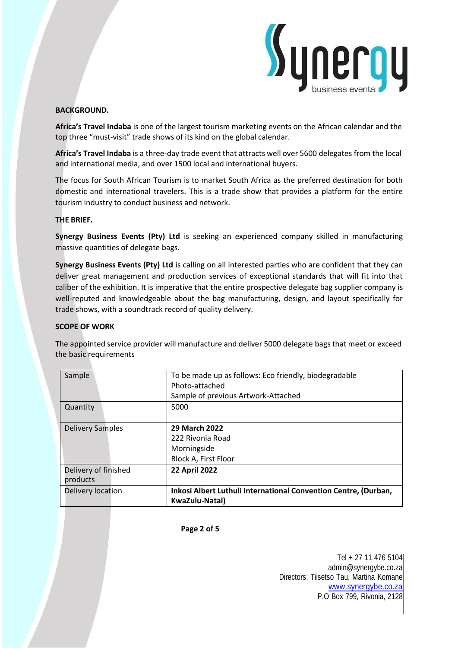

# **BACKGROUND.**

**Africa's Travel Indaba** is one of the largest tourism marketing events on the African calendar and the top three "must-visit" trade shows of its kind on the global calendar.

**Africa's Travel Indaba** is a three-day trade event that attracts well over 5600 delegates from the local and international media, and over 1500 local and international buyers.

The focus for South African Tourism is to market South Africa as the preferred destination for both domestic and international travelers. This is a trade show that provides a platform for the entire tourism industry to conduct business and network.

# **THE BRIEF.**

**Synergy Business Events (Pty) Ltd** is seeking an experienced company skilled in manufacturing massive quantities of delegate bags.

**Synergy Business Events (Pty) Ltd** is calling on all interested parties who are confident that they can deliver great management and production services of exceptional standards that will fit into that caliber of the exhibition. It is imperative that the entire prospective delegate bag supplier company is well-reputed and knowledgeable about the bag manufacturing, design, and layout specifically for trade shows, with a soundtrack record of quality delivery.

#### **SCOPE OF WORK**

The appointed service provider will manufacture and deliver 5000 delegate bags that meet or exceed the basic requirements

| Sample                           | To be made up as follows: Eco friendly, biodegradable<br>Photo-attached<br>Sample of previous Artwork-Attached |  |  |  |  |  |
|----------------------------------|----------------------------------------------------------------------------------------------------------------|--|--|--|--|--|
| Quantity                         | 5000                                                                                                           |  |  |  |  |  |
| <b>Delivery Samples</b>          | 29 March 2022<br>222 Rivonia Road<br>Morningside<br>Block A, First Floor                                       |  |  |  |  |  |
| Delivery of finished<br>products | <b>22 April 2022</b>                                                                                           |  |  |  |  |  |
| Delivery location                | Inkosi Albert Luthuli International Convention Centre, (Durban,<br>KwaZulu-Natal)                              |  |  |  |  |  |

**Page 2 of 5**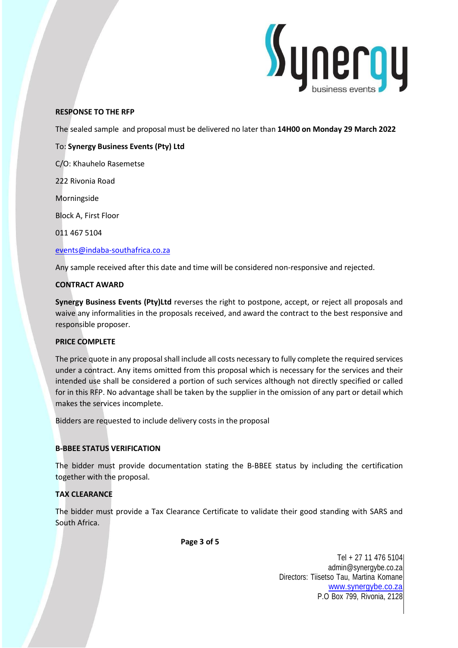

# **RESPONSE TO THE RFP**

The sealed sample and proposal must be delivered no later than **14H00 on Monday 29 March 2022**

### To: **Synergy Business Events (Pty) Ltd**

C/O: Khauhelo Rasemetse

222 Rivonia Road

Morningside

Block A, First Floor

011 467 5104

#### [events@indaba-southafrica.co.za](mailto:events@indaba-southafrica.co.za)

Any sample received after this date and time will be considered non-responsive and rejected.

#### **CONTRACT AWARD**

**Synergy Business Events (Pty)Ltd** reverses the right to postpone, accept, or reject all proposals and waive any informalities in the proposals received, and award the contract to the best responsive and responsible proposer.

#### **PRICE COMPLETE**

The price quote in any proposal shall include all costs necessary to fully complete the required services under a contract. Any items omitted from this proposal which is necessary for the services and their intended use shall be considered a portion of such services although not directly specified or called for in this RFP. No advantage shall be taken by the supplier in the omission of any part or detail which makes the services incomplete.

Bidders are requested to include delivery costs in the proposal

# **B-BBEE STATUS VERIFICATION**

The bidder must provide documentation stating the B-BBEE status by including the certification together with the proposal.

# **TAX CLEARANCE**

The bidder must provide a Tax Clearance Certificate to validate their good standing with SARS and South Africa.

**Page 3 of 5**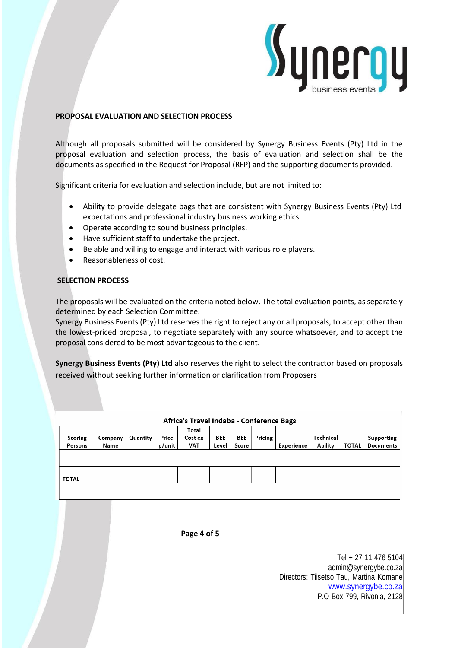

#### **PROPOSAL EVALUATION AND SELECTION PROCESS**

Although all proposals submitted will be considered by Synergy Business Events (Pty) Ltd in the proposal evaluation and selection process, the basis of evaluation and selection shall be the documents as specified in the Request for Proposal (RFP) and the supporting documents provided.

Significant criteria for evaluation and selection include, but are not limited to:

- Ability to provide delegate bags that are consistent with Synergy Business Events (Pty) Ltd expectations and professional industry business working ethics.
- Operate according to sound business principles.
- Have sufficient staff to undertake the project.
- Be able and willing to engage and interact with various role players.
- Reasonableness of cost.

#### **SELECTION PROCESS**

The proposals will be evaluated on the criteria noted below. The total evaluation points, as separately determined by each Selection Committee.

Synergy Business Events (Pty) Ltd reserves the right to reject any or all proposals, to accept other than the lowest-priced proposal, to negotiate separately with any source whatsoever, and to accept the proposal considered to be most advantageous to the client.

**Synergy Business Events (Pty) Ltd** also reserves the right to select the contractor based on proposals received without seeking further information or clarification from Proposers

| Africa's Travel Indaba - Conference Bags |         |          |        |                  |            |       |         |            |           |              |            |  |
|------------------------------------------|---------|----------|--------|------------------|------------|-------|---------|------------|-----------|--------------|------------|--|
| Scoring                                  | Company | Quantity | Price  | Total<br>Cost ex | <b>BEE</b> | BEE   | Pricing |            | Technical |              | Supporting |  |
| Persons                                  | Name    |          | p/unit | <b>VAT</b>       | Level      | Score |         | Experience | Ability   | <b>TOTAL</b> | Documents  |  |
|                                          |         |          |        |                  |            |       |         |            |           |              |            |  |
| <b>TOTAL</b>                             |         |          |        |                  |            |       |         |            |           |              |            |  |
|                                          |         |          |        |                  |            |       |         |            |           |              |            |  |

**Page 4 of 5**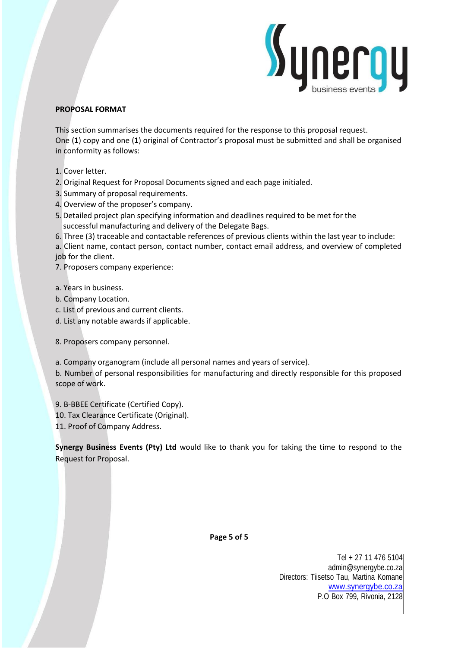

# **PROPOSAL FORMAT**

This section summarises the documents required for the response to this proposal request. One (**1**) copy and one (**1**) original of Contractor's proposal must be submitted and shall be organised in conformity as follows:

- 1. Cover letter.
- 2. Original Request for Proposal Documents signed and each page initialed.
- 3. Summary of proposal requirements.
- 4. Overview of the proposer's company.
- 5.Detailed project plan specifying information and deadlines required to be met for the successful manufacturing and delivery of the Delegate Bags.
- 6. Three (3) traceable and contactable references of previous clients within the last year to include:

a. Client name, contact person, contact number, contact email address, and overview of completed job for the client.

- 7. Proposers company experience:
- a. Years in business.
- b. Company Location.
- c. List of previous and current clients.
- d. List any notable awards if applicable.

8. Proposers company personnel.

- a. Company organogram (include all personal names and years of service).
- b. Number of personal responsibilities for manufacturing and directly responsible for this proposed scope of work.
- 9. B-BBEE Certificate (Certified Copy).
- 10. Tax Clearance Certificate (Original).
- 11. Proof of Company Address.

**Synergy Business Events (Pty) Ltd** would like to thank you for taking the time to respond to the Request for Proposal.

**Page 5 of 5**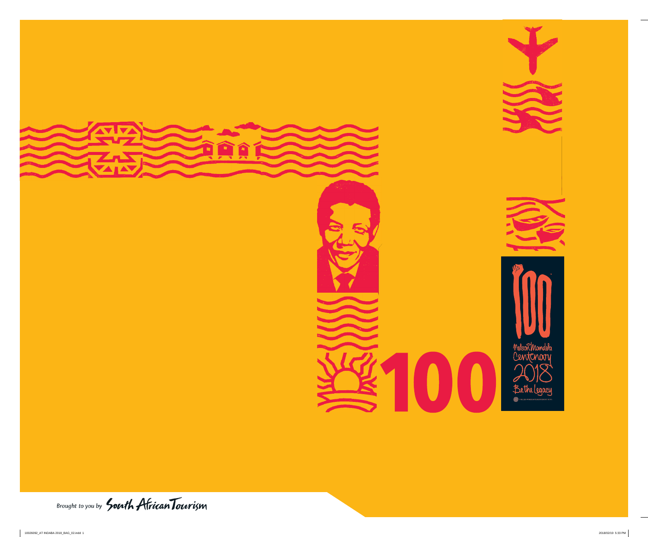

Brought to you by South African Tourism

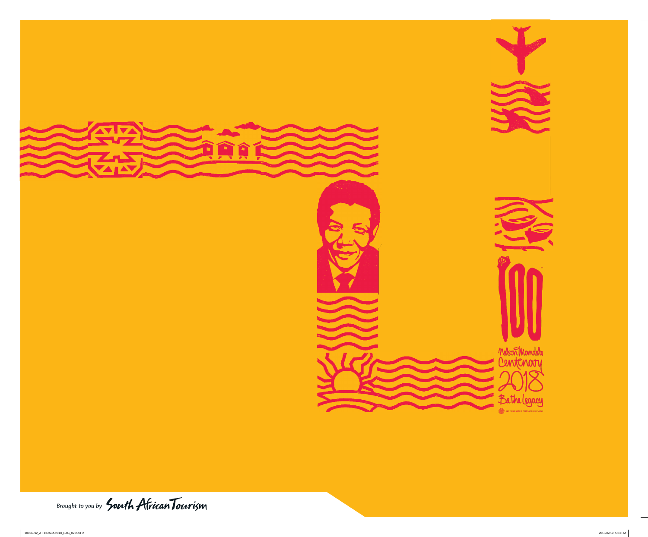

Brought to you by South African Tourism







Bethelegacy